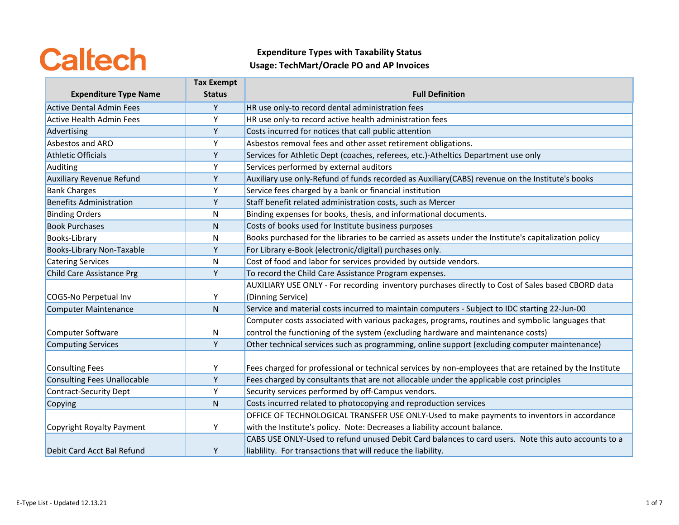|                                    | <b>Tax Exempt</b> |                                                                                                         |
|------------------------------------|-------------------|---------------------------------------------------------------------------------------------------------|
| <b>Expenditure Type Name</b>       | <b>Status</b>     | <b>Full Definition</b>                                                                                  |
| <b>Active Dental Admin Fees</b>    | Υ                 | HR use only-to record dental administration fees                                                        |
| <b>Active Health Admin Fees</b>    | Υ                 | HR use only-to record active health administration fees                                                 |
| Advertising                        | Y                 | Costs incurred for notices that call public attention                                                   |
| Asbestos and ARO                   | Y                 | Asbestos removal fees and other asset retirement obligations.                                           |
| <b>Athletic Officials</b>          | Υ                 | Services for Athletic Dept (coaches, referees, etc.)-Atheltics Department use only                      |
| Auditing                           | Y                 | Services performed by external auditors                                                                 |
| <b>Auxiliary Revenue Refund</b>    | Υ                 | Auxiliary use only-Refund of funds recorded as Auxiliary(CABS) revenue on the Institute's books         |
| <b>Bank Charges</b>                | Υ                 | Service fees charged by a bank or financial institution                                                 |
| <b>Benefits Administration</b>     | Υ                 | Staff benefit related administration costs, such as Mercer                                              |
| <b>Binding Orders</b>              | N                 | Binding expenses for books, thesis, and informational documents.                                        |
| <b>Book Purchases</b>              | Ν                 | Costs of books used for Institute business purposes                                                     |
| Books-Library                      | N                 | Books purchased for the libraries to be carried as assets under the Institute's capitalization policy   |
| Books-Library Non-Taxable          | Υ                 | For Library e-Book (electronic/digital) purchases only.                                                 |
| <b>Catering Services</b>           | N                 | Cost of food and labor for services provided by outside vendors.                                        |
| Child Care Assistance Prg          | Υ                 | To record the Child Care Assistance Program expenses.                                                   |
|                                    |                   | AUXILIARY USE ONLY - For recording inventory purchases directly to Cost of Sales based CBORD data       |
| COGS-No Perpetual Inv              | Υ                 | (Dinning Service)                                                                                       |
| Computer Maintenance               | $\mathsf{N}$      | Service and material costs incurred to maintain computers - Subject to IDC starting 22-Jun-00           |
|                                    |                   | Computer costs associated with various packages, programs, routines and symbolic languages that         |
| Computer Software                  | N                 | control the functioning of the system (excluding hardware and maintenance costs)                        |
| Computing Services                 | Y                 | Other technical services such as programming, online support (excluding computer maintenance)           |
|                                    |                   |                                                                                                         |
| <b>Consulting Fees</b>             | Υ                 | Fees charged for professional or technical services by non-employees that are retained by the Institute |
| <b>Consulting Fees Unallocable</b> | Y                 | Fees charged by consultants that are not allocable under the applicable cost principles                 |
| <b>Contract-Security Dept</b>      | Υ                 | Security services performed by off-Campus vendors.                                                      |
| Copying                            | N                 | Costs incurred related to photocopying and reproduction services                                        |
|                                    |                   | OFFICE OF TECHNOLOGICAL TRANSFER USE ONLY-Used to make payments to inventors in accordance              |
| Copyright Royalty Payment          | Υ                 | with the Institute's policy. Note: Decreases a liability account balance.                               |
|                                    |                   | CABS USE ONLY-Used to refund unused Debit Card balances to card users. Note this auto accounts to a     |
| Debit Card Acct Bal Refund         | Υ                 | liablility. For transactions that will reduce the liability.                                            |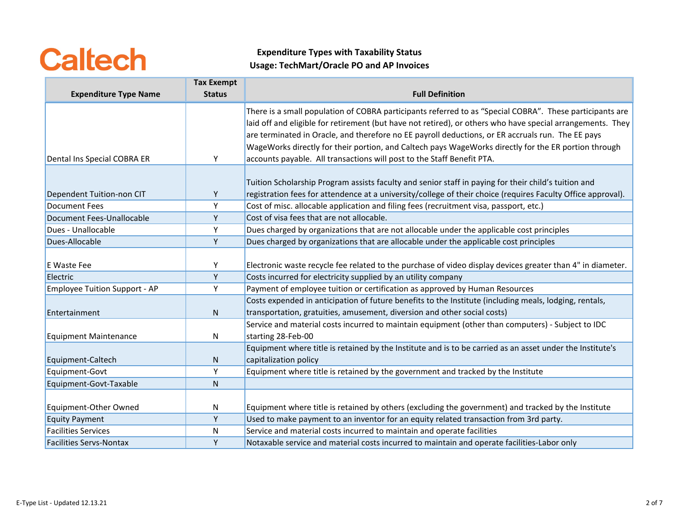|                                | <b>Tax Exempt</b> |                                                                                                              |
|--------------------------------|-------------------|--------------------------------------------------------------------------------------------------------------|
| <b>Expenditure Type Name</b>   | <b>Status</b>     | <b>Full Definition</b>                                                                                       |
|                                |                   | There is a small population of COBRA participants referred to as "Special COBRA". These participants are     |
|                                |                   | laid off and eligible for retirement (but have not retired), or others who have special arrangements. They   |
|                                |                   | are terminated in Oracle, and therefore no EE payroll deductions, or ER accruals run. The EE pays            |
|                                |                   | WageWorks directly for their portion, and Caltech pays WageWorks directly for the ER portion through         |
| Dental Ins Special COBRA ER    | Y                 | accounts payable. All transactions will post to the Staff Benefit PTA.                                       |
|                                |                   |                                                                                                              |
|                                |                   | Tuition Scholarship Program assists faculty and senior staff in paying for their child's tuition and         |
| Dependent Tuition-non CIT      | Y                 | registration fees for attendence at a university/college of their choice (requires Faculty Office approval). |
| Document Fees                  | Y                 | Cost of misc. allocable application and filing fees (recruitment visa, passport, etc.)                       |
| Document Fees-Unallocable      | Y                 | Cost of visa fees that are not allocable.                                                                    |
| Dues - Unallocable             | Υ                 | Dues charged by organizations that are not allocable under the applicable cost principles                    |
| Dues-Allocable                 | Y                 | Dues charged by organizations that are allocable under the applicable cost principles                        |
|                                |                   |                                                                                                              |
| E Waste Fee                    | Υ                 | Electronic waste recycle fee related to the purchase of video display devices greater than 4" in diameter.   |
| Electric                       | Y                 | Costs incurred for electricity supplied by an utility company                                                |
| Employee Tuition Support - AP  | Υ                 | Payment of employee tuition or certification as approved by Human Resources                                  |
|                                |                   | Costs expended in anticipation of future benefits to the Institute (including meals, lodging, rentals,       |
| Entertainment                  | $\mathsf{N}$      | transportation, gratuities, amusement, diversion and other social costs)                                     |
|                                |                   | Service and material costs incurred to maintain equipment (other than computers) - Subject to IDC            |
| Equipment Maintenance          | N                 | starting 28-Feb-00                                                                                           |
|                                |                   | Equipment where title is retained by the Institute and is to be carried as an asset under the Institute's    |
| Equipment-Caltech              | ${\sf N}$         | capitalization policy                                                                                        |
| Equipment-Govt                 | Y                 | Equipment where title is retained by the government and tracked by the Institute                             |
| Equipment-Govt-Taxable         | N                 |                                                                                                              |
|                                |                   |                                                                                                              |
| Equipment-Other Owned          | N                 | Equipment where title is retained by others (excluding the government) and tracked by the Institute          |
| <b>Equity Payment</b>          | Y                 | Used to make payment to an inventor for an equity related transaction from 3rd party.                        |
| <b>Facilities Services</b>     | N                 | Service and material costs incurred to maintain and operate facilities                                       |
| <b>Facilities Servs-Nontax</b> | Υ                 | Notaxable service and material costs incurred to maintain and operate facilities-Labor only                  |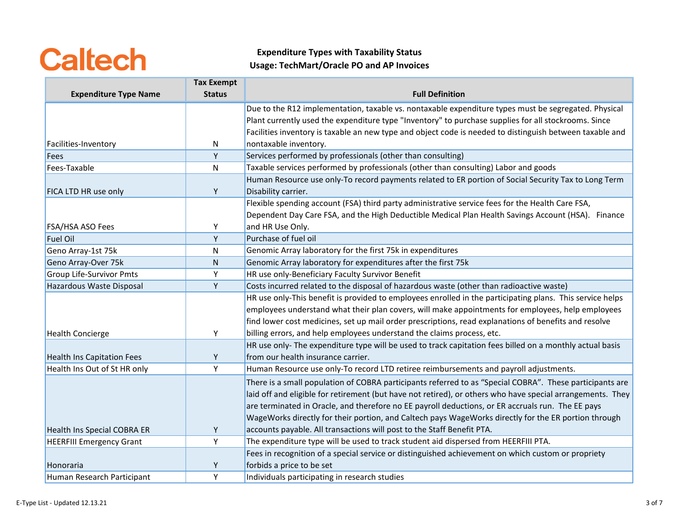|                                    | <b>Tax Exempt</b> |                                                                                                            |
|------------------------------------|-------------------|------------------------------------------------------------------------------------------------------------|
| <b>Expenditure Type Name</b>       | <b>Status</b>     | <b>Full Definition</b>                                                                                     |
|                                    |                   | Due to the R12 implementation, taxable vs. nontaxable expenditure types must be segregated. Physical       |
|                                    |                   | Plant currently used the expenditure type "Inventory" to purchase supplies for all stockrooms. Since       |
|                                    |                   | Facilities inventory is taxable an new type and object code is needed to distinguish between taxable and   |
| Facilities-Inventory               | N                 | nontaxable inventory.                                                                                      |
| Fees                               | Υ                 | Services performed by professionals (other than consulting)                                                |
| Fees-Taxable                       | ${\sf N}$         | Taxable services performed by professionals (other than consulting) Labor and goods                        |
|                                    |                   | Human Resource use only-To record payments related to ER portion of Social Security Tax to Long Term       |
| FICA LTD HR use only               | Y                 | Disability carrier.                                                                                        |
|                                    |                   | Flexible spending account (FSA) third party administrative service fees for the Health Care FSA,           |
|                                    |                   | Dependent Day Care FSA, and the High Deductible Medical Plan Health Savings Account (HSA). Finance         |
| <b>FSA/HSA ASO Fees</b>            | Υ                 | and HR Use Only.                                                                                           |
| <b>Fuel Oil</b>                    | Y                 | Purchase of fuel oil                                                                                       |
| Geno Array-1st 75k                 | N                 | Genomic Array laboratory for the first 75k in expenditures                                                 |
| Geno Array-Over 75k                | $\mathsf{N}$      | Genomic Array laboratory for expenditures after the first 75k                                              |
| <b>Group Life-Survivor Pmts</b>    | Υ                 | HR use only-Beneficiary Faculty Survivor Benefit                                                           |
| Hazardous Waste Disposal           | Y                 | Costs incurred related to the disposal of hazardous waste (other than radioactive waste)                   |
|                                    |                   | HR use only-This benefit is provided to employees enrolled in the participating plans. This service helps  |
|                                    |                   | employees understand what their plan covers, will make appointments for employees, help employees          |
|                                    |                   | find lower cost medicines, set up mail order prescriptions, read explanations of benefits and resolve      |
| <b>Health Concierge</b>            | Y                 | billing errors, and help employees understand the claims process, etc.                                     |
|                                    |                   | HR use only- The expenditure type will be used to track capitation fees billed on a monthly actual basis   |
| <b>Health Ins Capitation Fees</b>  | Y                 | from our health insurance carrier.                                                                         |
| Health Ins Out of St HR only       | Y                 | Human Resource use only-To record LTD retiree reimbursements and payroll adjustments.                      |
|                                    |                   | There is a small population of COBRA participants referred to as "Special COBRA". These participants are   |
|                                    |                   | laid off and eligible for retirement (but have not retired), or others who have special arrangements. They |
|                                    |                   | are terminated in Oracle, and therefore no EE payroll deductions, or ER accruals run. The EE pays          |
|                                    |                   | WageWorks directly for their portion, and Caltech pays WageWorks directly for the ER portion through       |
| <b>Health Ins Special COBRA ER</b> | Y                 | accounts payable. All transactions will post to the Staff Benefit PTA.                                     |
| <b>HEERFIII Emergency Grant</b>    | Y                 | The expenditure type will be used to track student aid dispersed from HEERFIII PTA.                        |
|                                    |                   | Fees in recognition of a special service or distinguished achievement on which custom or propriety         |
| Honoraria                          | Υ                 | forbids a price to be set                                                                                  |
| Human Research Participant         | Υ                 | Individuals participating in research studies                                                              |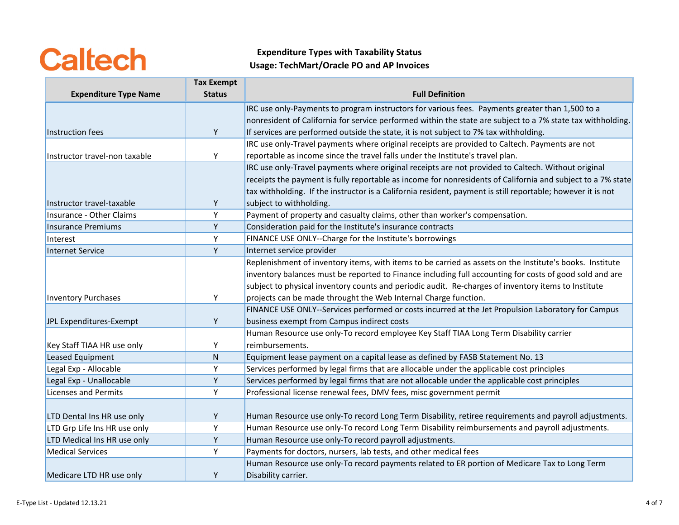|                               | <b>Tax Exempt</b> |                                                                                                             |
|-------------------------------|-------------------|-------------------------------------------------------------------------------------------------------------|
| <b>Expenditure Type Name</b>  | <b>Status</b>     | <b>Full Definition</b>                                                                                      |
|                               |                   | IRC use only-Payments to program instructors for various fees. Payments greater than 1,500 to a             |
|                               |                   | nonresident of California for service performed within the state are subject to a 7% state tax withholding. |
| Instruction fees              | Y                 | If services are performed outside the state, it is not subject to 7% tax withholding.                       |
|                               |                   | IRC use only-Travel payments where original receipts are provided to Caltech. Payments are not              |
| Instructor travel-non taxable | Y                 | reportable as income since the travel falls under the Institute's travel plan.                              |
|                               |                   | IRC use only-Travel payments where original receipts are not provided to Caltech. Without original          |
|                               |                   | receipts the payment is fully reportable as income for nonresidents of California and subject to a 7% state |
|                               |                   | tax withholding. If the instructor is a California resident, payment is still reportable; however it is not |
| Instructor travel-taxable     | Y                 | subject to withholding.                                                                                     |
| Insurance - Other Claims      | Y                 | Payment of property and casualty claims, other than worker's compensation.                                  |
| <b>Insurance Premiums</b>     | Y                 | Consideration paid for the Institute's insurance contracts                                                  |
| Interest                      | Υ                 | FINANCE USE ONLY--Charge for the Institute's borrowings                                                     |
| Internet Service              | Y                 | Internet service provider                                                                                   |
|                               |                   | Replenishment of inventory items, with items to be carried as assets on the Institute's books. Institute    |
|                               |                   | inventory balances must be reported to Finance including full accounting for costs of good sold and are     |
|                               |                   | subject to physical inventory counts and periodic audit. Re-charges of inventory items to Institute         |
| <b>Inventory Purchases</b>    | Y                 | projects can be made throught the Web Internal Charge function.                                             |
|                               |                   | FINANCE USE ONLY--Services performed or costs incurred at the Jet Propulsion Laboratory for Campus          |
| JPL Expenditures-Exempt       | Y                 | business exempt from Campus indirect costs                                                                  |
|                               |                   | Human Resource use only-To record employee Key Staff TIAA Long Term Disability carrier                      |
| Key Staff TIAA HR use only    | Y                 | reimbursements.                                                                                             |
| Leased Equipment              | $\mathsf{N}$      | Equipment lease payment on a capital lease as defined by FASB Statement No. 13                              |
| Legal Exp - Allocable         | Υ                 | Services performed by legal firms that are allocable under the applicable cost principles                   |
| Legal Exp - Unallocable       | Υ                 | Services performed by legal firms that are not allocable under the applicable cost principles               |
| <b>Licenses and Permits</b>   | Y                 | Professional license renewal fees, DMV fees, misc government permit                                         |
|                               |                   |                                                                                                             |
| LTD Dental Ins HR use only    | Y                 | Human Resource use only-To record Long Term Disability, retiree requirements and payroll adjustments.       |
| LTD Grp Life Ins HR use only  | Υ                 | Human Resource use only-To record Long Term Disability reimbursements and payroll adjustments.              |
| LTD Medical Ins HR use only   | Y                 | Human Resource use only-To record payroll adjustments.                                                      |
| <b>Medical Services</b>       | Y                 | Payments for doctors, nursers, lab tests, and other medical fees                                            |
|                               |                   | Human Resource use only-To record payments related to ER portion of Medicare Tax to Long Term               |
| Medicare LTD HR use only      | Y                 | Disability carrier.                                                                                         |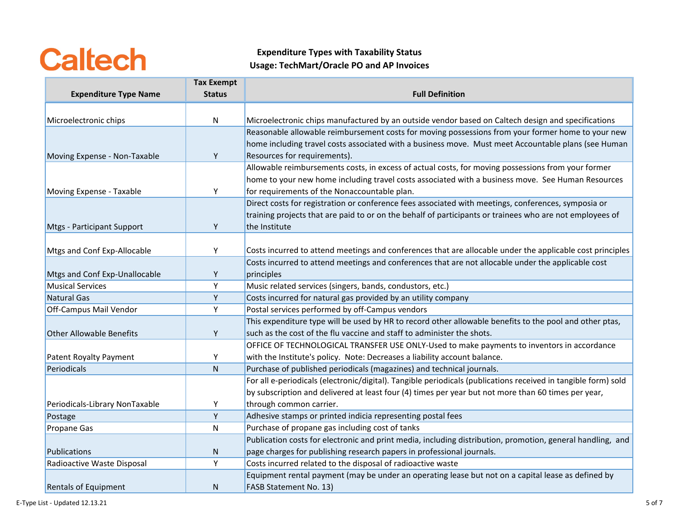|                                 | <b>Tax Exempt</b> |                                                                                                                |
|---------------------------------|-------------------|----------------------------------------------------------------------------------------------------------------|
| <b>Expenditure Type Name</b>    | <b>Status</b>     | <b>Full Definition</b>                                                                                         |
|                                 |                   |                                                                                                                |
| Microelectronic chips           | N                 | Microelectronic chips manufactured by an outside vendor based on Caltech design and specifications             |
|                                 |                   | Reasonable allowable reimbursement costs for moving possessions from your former home to your new              |
|                                 |                   | home including travel costs associated with a business move. Must meet Accountable plans (see Human            |
| Moving Expense - Non-Taxable    | Y                 | Resources for requirements).                                                                                   |
|                                 |                   | Allowable reimbursements costs, in excess of actual costs, for moving possessions from your former             |
|                                 |                   | home to your new home including travel costs associated with a business move. See Human Resources              |
| Moving Expense - Taxable        | Υ                 | for requirements of the Nonaccountable plan.                                                                   |
|                                 |                   | Direct costs for registration or conference fees associated with meetings, conferences, symposia or            |
|                                 |                   | training projects that are paid to or on the behalf of participants or trainees who are not employees of       |
| Mtgs - Participant Support      | Y                 | the Institute                                                                                                  |
|                                 |                   |                                                                                                                |
| Mtgs and Conf Exp-Allocable     | Y                 | Costs incurred to attend meetings and conferences that are allocable under the applicable cost principles      |
|                                 |                   | Costs incurred to attend meetings and conferences that are not allocable under the applicable cost             |
| Mtgs and Conf Exp-Unallocable   | Y                 | principles                                                                                                     |
| <b>Musical Services</b>         | Y                 | Music related services (singers, bands, condustors, etc.)                                                      |
| Natural Gas                     | Y                 | Costs incurred for natural gas provided by an utility company                                                  |
| Off-Campus Mail Vendor          | Y                 | Postal services performed by off-Campus vendors                                                                |
|                                 |                   | This expenditure type will be used by HR to record other allowable benefits to the pool and other ptas,        |
| <b>Other Allowable Benefits</b> | Y                 | such as the cost of the flu vaccine and staff to administer the shots.                                         |
|                                 |                   | OFFICE OF TECHNOLOGICAL TRANSFER USE ONLY-Used to make payments to inventors in accordance                     |
| Patent Royalty Payment          | Υ                 | with the Institute's policy. Note: Decreases a liability account balance.                                      |
| Periodicals                     | ${\sf N}$         | Purchase of published periodicals (magazines) and technical journals.                                          |
|                                 |                   | For all e-periodicals (electronic/digital). Tangible periodicals (publications received in tangible form) sold |
|                                 |                   | by subscription and delivered at least four (4) times per year but not more than 60 times per year,            |
| Periodicals-Library NonTaxable  | Υ                 | through common carrier.                                                                                        |
| Postage                         | Y                 | Adhesive stamps or printed indicia representing postal fees                                                    |
| Propane Gas                     | $\mathsf{N}$      | Purchase of propane gas including cost of tanks                                                                |
|                                 |                   | Publication costs for electronic and print media, including distribution, promotion, general handling, and     |
| Publications                    | N                 | page charges for publishing research papers in professional journals.                                          |
| Radioactive Waste Disposal      | Υ                 | Costs incurred related to the disposal of radioactive waste                                                    |
|                                 |                   | Equipment rental payment (may be under an operating lease but not on a capital lease as defined by             |
| <b>Rentals of Equipment</b>     | N                 | FASB Statement No. 13)                                                                                         |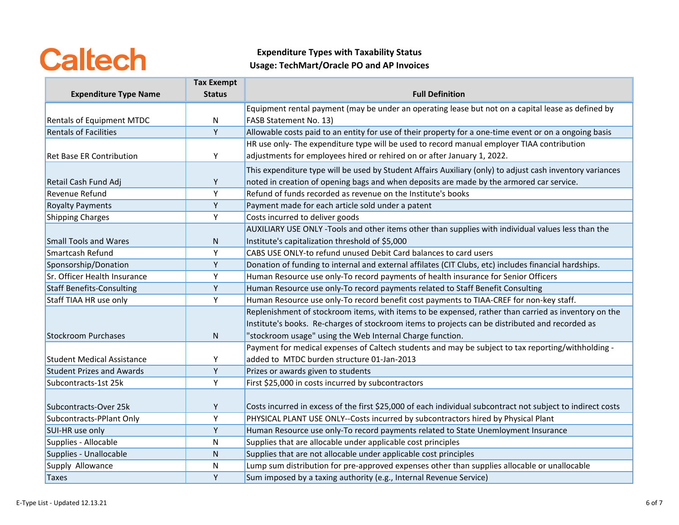|                                   | <b>Tax Exempt</b> |                                                                                                             |
|-----------------------------------|-------------------|-------------------------------------------------------------------------------------------------------------|
| <b>Expenditure Type Name</b>      | <b>Status</b>     | <b>Full Definition</b>                                                                                      |
|                                   |                   | Equipment rental payment (may be under an operating lease but not on a capital lease as defined by          |
| <b>Rentals of Equipment MTDC</b>  | N                 | FASB Statement No. 13)                                                                                      |
| <b>Rentals of Facilities</b>      | Y                 | Allowable costs paid to an entity for use of their property for a one-time event or on a ongoing basis      |
|                                   |                   | HR use only- The expenditure type will be used to record manual employer TIAA contribution                  |
| <b>Ret Base ER Contribution</b>   | Y                 | adjustments for employees hired or rehired on or after January 1, 2022.                                     |
|                                   |                   | This expenditure type will be used by Student Affairs Auxiliary (only) to adjust cash inventory variances   |
| Retail Cash Fund Adj              | Y                 | noted in creation of opening bags and when deposits are made by the armored car service.                    |
| Revenue Refund                    | Y                 | Refund of funds recorded as revenue on the Institute's books                                                |
| <b>Royalty Payments</b>           | Y                 | Payment made for each article sold under a patent                                                           |
| <b>Shipping Charges</b>           | Y                 | Costs incurred to deliver goods                                                                             |
|                                   |                   | AUXILIARY USE ONLY -Tools and other items other than supplies with individual values less than the          |
| <b>Small Tools and Wares</b>      | N                 | Institute's capitalization threshold of \$5,000                                                             |
| Smartcash Refund                  | Υ                 | CABS USE ONLY-to refund unused Debit Card balances to card users                                            |
| Sponsorship/Donation              | Y                 | Donation of funding to internal and external affilates (CIT Clubs, etc) includes financial hardships.       |
| Sr. Officer Health Insurance      | Υ                 | Human Resource use only-To record payments of health insurance for Senior Officers                          |
| <b>Staff Benefits-Consulting</b>  | Υ                 | Human Resource use only-To record payments related to Staff Benefit Consulting                              |
| Staff TIAA HR use only            | Y                 | Human Resource use only-To record benefit cost payments to TIAA-CREF for non-key staff.                     |
|                                   |                   | Replenishment of stockroom items, with items to be expensed, rather than carried as inventory on the        |
|                                   |                   | Institute's books. Re-charges of stockroom items to projects can be distributed and recorded as             |
| <b>Stockroom Purchases</b>        | N                 | "stockroom usage" using the Web Internal Charge function.                                                   |
|                                   |                   | Payment for medical expenses of Caltech students and may be subject to tax reporting/withholding -          |
| <b>Student Medical Assistance</b> | Y                 | added to MTDC burden structure 01-Jan-2013                                                                  |
| <b>Student Prizes and Awards</b>  | Y                 | Prizes or awards given to students                                                                          |
| Subcontracts-1st 25k              | Y                 | First \$25,000 in costs incurred by subcontractors                                                          |
|                                   |                   |                                                                                                             |
| Subcontracts-Over 25k             | Y                 | Costs incurred in excess of the first \$25,000 of each individual subcontract not subject to indirect costs |
| Subcontracts-PPlant Only          | Y                 | PHYSICAL PLANT USE ONLY--Costs incurred by subcontractors hired by Physical Plant                           |
| SUI-HR use only                   | Y                 | Human Resource use only-To record payments related to State Unemloyment Insurance                           |
| Supplies - Allocable              | ${\sf N}$         | Supplies that are allocable under applicable cost principles                                                |
| Supplies - Unallocable            | ${\sf N}$         | Supplies that are not allocable under applicable cost principles                                            |
| Supply Allowance                  | $\mathsf{N}$      | Lump sum distribution for pre-approved expenses other than supplies allocable or unallocable                |
| <b>Taxes</b>                      | Y                 | Sum imposed by a taxing authority (e.g., Internal Revenue Service)                                          |